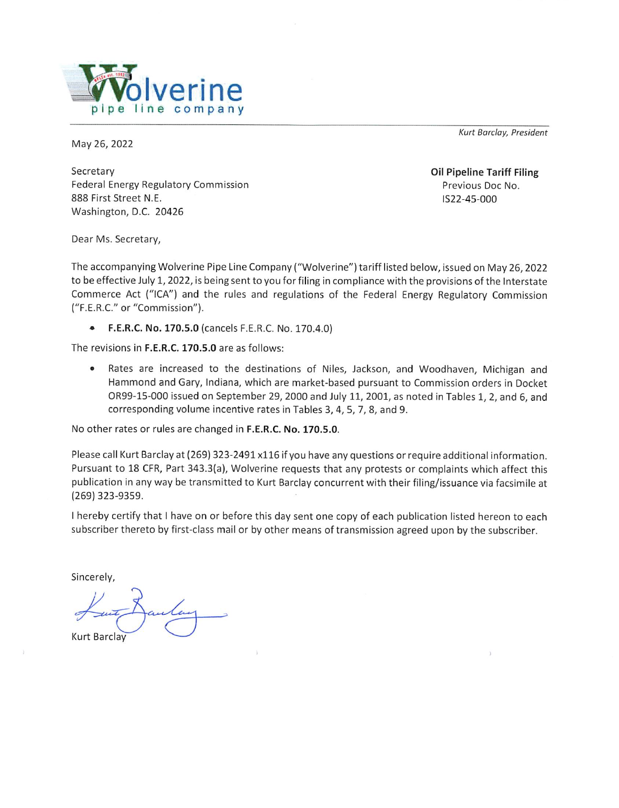

May 26, 2022

Kurt Barclay, President

Secretary Federal Energy Regulatory Commission 888 First Street N.E. Washington, D.C. 20426

**Oil Pipeline Tariff Filing** Previous Doc No. IS22-45-000

Dear Ms. Secretary,

The accompanying Wolverine Pipe Line Company ("Wolverine") tariff listed below, issued on May 26, 2022 to be effective July 1, 2022, is being sent to you for filing in compliance with the provisions of the Interstate Commerce Act ("ICA") and the rules and regulations of the Federal Energy Regulatory Commission ("F.E.R.C." or "Commission").

F.E.R.C. No. 170.5.0 (cancels F.E.R.C. No. 170.4.0)  $\bullet$ 

The revisions in F.E.R.C. 170.5.0 are as follows:

Rates are increased to the destinations of Niles, Jackson, and Woodhaven, Michigan and  $\bullet$ Hammond and Gary, Indiana, which are market-based pursuant to Commission orders in Docket OR99-15-000 issued on September 29, 2000 and July 11, 2001, as noted in Tables 1, 2, and 6, and corresponding volume incentive rates in Tables 3, 4, 5, 7, 8, and 9.

No other rates or rules are changed in F.E.R.C. No. 170.5.0.

Please call Kurt Barclay at (269) 323-2491 x116 if you have any questions or require additional information. Pursuant to 18 CFR, Part 343.3(a), Wolverine requests that any protests or complaints which affect this publication in any way be transmitted to Kurt Barclay concurrent with their filing/issuance via facsimile at  $(269)$  323-9359.

I hereby certify that I have on or before this day sent one copy of each publication listed hereon to each subscriber thereto by first-class mail or by other means of transmission agreed upon by the subscriber.

Sincerely,

**Kurt Barclay**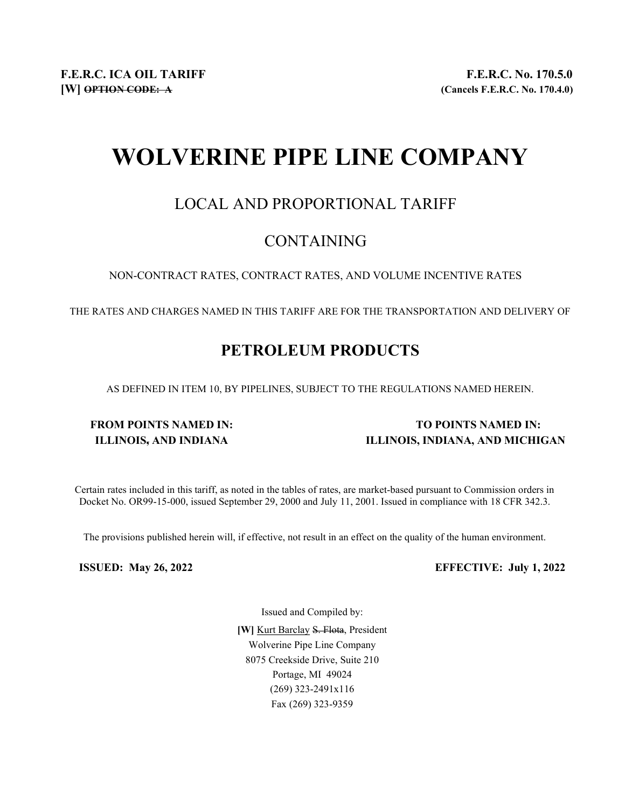# WOLVERINE PIPE LINE COMPANY

### LOCAL AND PROPORTIONAL TARIFF

### CONTAINING

NON-CONTRACT RATES, CONTRACT RATES, AND VOLUME INCENTIVE RATES

THE RATES AND CHARGES NAMED IN THIS TARIFF ARE FOR THE TRANSPORTATION AND DELIVERY OF

## PETROLEUM PRODUCTS

AS DEFINED IN ITEM 10, BY PIPELINES, SUBJECT TO THE REGULATIONS NAMED HEREIN.

### FROM POINTS NAMED IN: TO POINTS NAMED IN: ILLINOIS, AND INDIANA ILLINOIS, INDIANA, AND MICHIGAN

Certain rates included in this tariff, as noted in the tables of rates, are market-based pursuant to Commission orders in Docket No. OR99-15-000, issued September 29, 2000 and July 11, 2001. Issued in compliance with 18 CFR 342.3.

The provisions published herein will, if effective, not result in an effect on the quality of the human environment.

ISSUED: May 26, 2022 EFFECTIVE: July 1, 2022

Issued and Compiled by:

[W] Kurt Barclay S. Flota, President Wolverine Pipe Line Company 8075 Creekside Drive, Suite 210 Portage, MI 49024 (269) 323-2491x116 Fax (269) 323-9359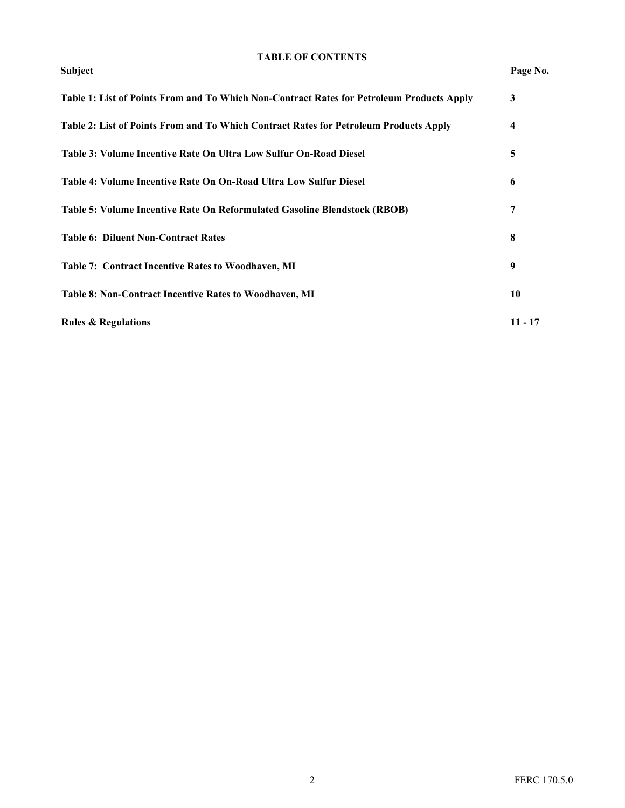#### TABLE OF CONTENTS

#### Subject Page No.

| Table 1: List of Points From and To Which Non-Contract Rates for Petroleum Products Apply | 3                       |
|-------------------------------------------------------------------------------------------|-------------------------|
| Table 2: List of Points From and To Which Contract Rates for Petroleum Products Apply     | $\overline{\mathbf{4}}$ |
| Table 3: Volume Incentive Rate On Ultra Low Sulfur On-Road Diesel                         | 5                       |
| Table 4: Volume Incentive Rate On On-Road Ultra Low Sulfur Diesel                         | 6                       |
| Table 5: Volume Incentive Rate On Reformulated Gasoline Blendstock (RBOB)                 | 7                       |
| <b>Table 6: Diluent Non-Contract Rates</b>                                                | 8                       |
| Table 7: Contract Incentive Rates to Woodhaven, MI                                        | 9                       |
| Table 8: Non-Contract Incentive Rates to Woodhaven, MI                                    | 10                      |
| <b>Rules &amp; Regulations</b>                                                            | $11 - 17$               |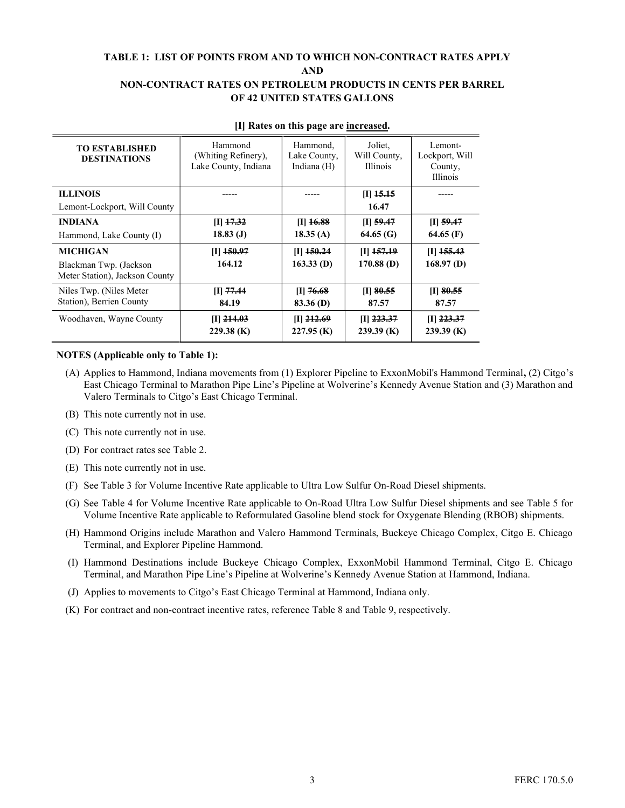#### TABLE 1: LIST OF POINTS FROM AND TO WHICH NON-CONTRACT RATES APPLY AND NON-CONTRACT RATES ON PETROLEUM PRODUCTS IN CENTS PER BARREL OF 42 UNITED STATES GALLONS

| <b>TO ESTABLISHED</b><br><b>DESTINATIONS</b>             | Hammond<br>(Whiting Refinery),<br>Lake County, Indiana | Hammond,<br>Lake County,<br>Indiana (H) | Joliet,<br>Will County,<br><b>Illinois</b> | Lemont-<br>Lockport, Will<br>County,<br><b>Illinois</b> |
|----------------------------------------------------------|--------------------------------------------------------|-----------------------------------------|--------------------------------------------|---------------------------------------------------------|
| <b>ILLINOIS</b><br>Lemont-Lockport, Will County          |                                                        |                                         | $[I]$ 15.15<br>16.47                       |                                                         |
| <b>INDIANA</b>                                           | $[I]$ 17.32                                            | $[I]$ 16.88                             | $[I]$ 59.47                                | $[I]$ 59.47                                             |
| Hammond, Lake County (I)                                 | 18.83(J)                                               | 18.35(A)                                | 64.65(G)                                   | 64.65 $(F)$                                             |
| MICHIGAN                                                 | $[I]$ 150.97                                           | $[I]$ 150.24                            | $[I]$ 157.19                               | $[I]$ 155.43                                            |
| Blackman Twp. (Jackson<br>Meter Station), Jackson County | 164.12                                                 | $163.33$ (D)                            | $170.88$ (D)                               | $168.97$ (D)                                            |
| Niles Twp. (Niles Meter)                                 | $[I]$ 77.44                                            | $[I]$ 76.68                             | $[I]$ 80.55                                | $[I]$ 80.55                                             |
| Station), Berrien County                                 | 84.19                                                  | $83.36$ (D)                             | 87.57                                      | 87.57                                                   |
| Woodhaven, Wayne County                                  | $[I]$ 214.03<br>$229.38$ (K)                           | $[I]$ 212.69<br>$227.95$ (K)            | $[I]$ 223.37<br>$239.39$ (K)               | $[I]$ 223.37<br>$239.39$ (K)                            |

#### [I] Rates on this page are increased.

#### NOTES (Applicable only to Table 1):

- (A) Applies to Hammond, Indiana movements from (1) Explorer Pipeline to ExxonMobil's Hammond Terminal, (2) Citgo's East Chicago Terminal to Marathon Pipe Line's Pipeline at Wolverine's Kennedy Avenue Station and (3) Marathon and Valero Terminals to Citgo's East Chicago Terminal.
- (B) This note currently not in use.
- (C) This note currently not in use.
- (D) For contract rates see Table 2.
- (E) This note currently not in use.
- (F) See Table 3 for Volume Incentive Rate applicable to Ultra Low Sulfur On-Road Diesel shipments.
- (G) See Table 4 for Volume Incentive Rate applicable to On-Road Ultra Low Sulfur Diesel shipments and see Table 5 for Volume Incentive Rate applicable to Reformulated Gasoline blend stock for Oxygenate Blending (RBOB) shipments.
- (H) Hammond Origins include Marathon and Valero Hammond Terminals, Buckeye Chicago Complex, Citgo E. Chicago Terminal, and Explorer Pipeline Hammond.
- (I) Hammond Destinations include Buckeye Chicago Complex, ExxonMobil Hammond Terminal, Citgo E. Chicago Terminal, and Marathon Pipe Line's Pipeline at Wolverine's Kennedy Avenue Station at Hammond, Indiana.
- (J) Applies to movements to Citgo's East Chicago Terminal at Hammond, Indiana only.
- (K) For contract and non-contract incentive rates, reference Table 8 and Table 9, respectively.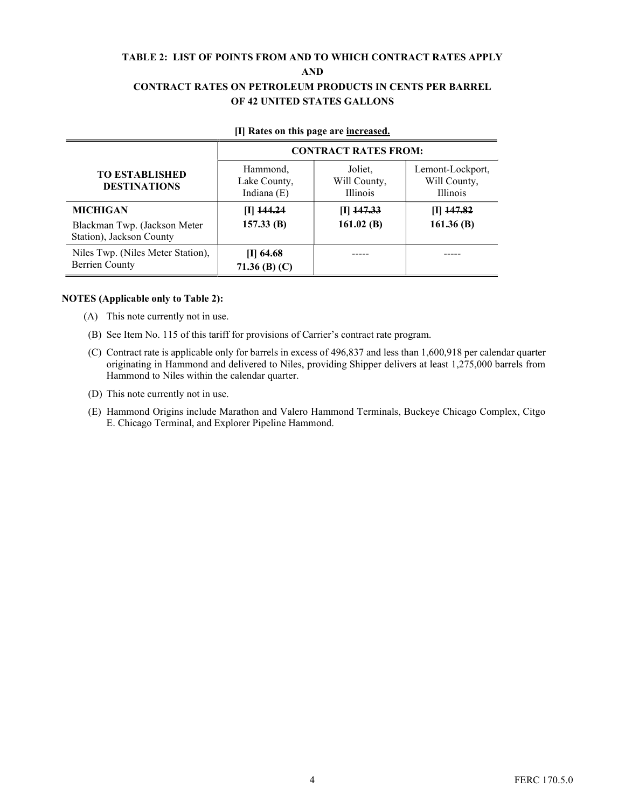#### TABLE 2: LIST OF POINTS FROM AND TO WHICH CONTRACT RATES APPLY AND CONTRACT RATES ON PETROLEUM PRODUCTS IN CENTS PER BARREL OF 42 UNITED STATES GALLONS

|                                                            | <b>CONTRACT RATES FROM:</b>             |                                            |                                                     |  |  |
|------------------------------------------------------------|-----------------------------------------|--------------------------------------------|-----------------------------------------------------|--|--|
| <b>TO ESTABLISHED</b><br><b>DESTINATIONS</b>               | Hammond,<br>Lake County,<br>Indiana (E) | Joliet,<br>Will County,<br><b>Illinois</b> | Lemont-Lockport,<br>Will County,<br><b>Illinois</b> |  |  |
| <b>MICHIGAN</b>                                            | $[I]$ 144.24                            | $[1]$ 147.33                               | III <del>147.82</del>                               |  |  |
| Blackman Twp. (Jackson Meter<br>Station), Jackson County   | 157.33(B)                               | 161.02 $(B)$                               | 161.36(B)                                           |  |  |
| Niles Twp. (Niles Meter Station),<br><b>Berrien County</b> | [I] 64.68<br>71.36 (B) $(C)$            |                                            |                                                     |  |  |

#### [I] Rates on this page are increased.

#### NOTES (Applicable only to Table 2):

- (A) This note currently not in use.
- (B) See Item No. 115 of this tariff for provisions of Carrier's contract rate program.
- (C) Contract rate is applicable only for barrels in excess of 496,837 and less than 1,600,918 per calendar quarter originating in Hammond and delivered to Niles, providing Shipper delivers at least 1,275,000 barrels from Hammond to Niles within the calendar quarter.
- (D) This note currently not in use.
- (E) Hammond Origins include Marathon and Valero Hammond Terminals, Buckeye Chicago Complex, Citgo E. Chicago Terminal, and Explorer Pipeline Hammond.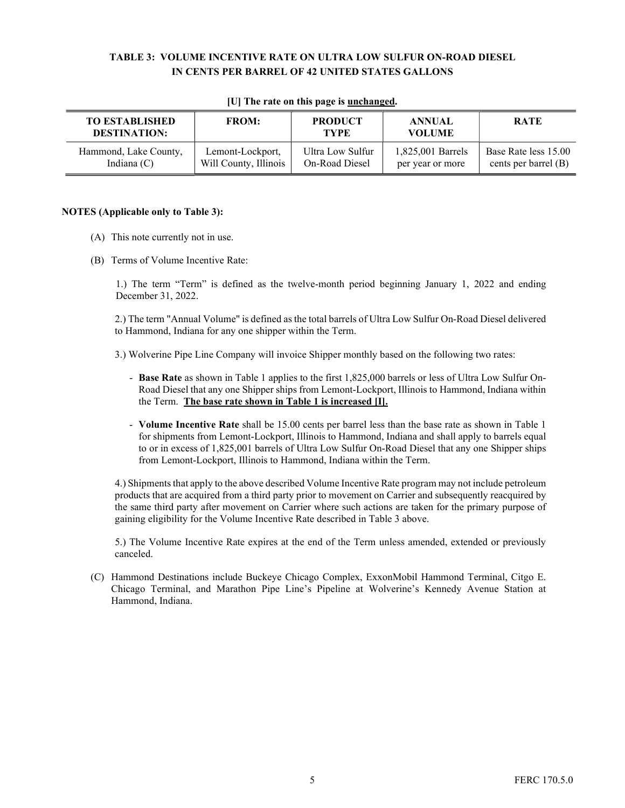#### TABLE 3: VOLUME INCENTIVE RATE ON ULTRA LOW SULFUR ON-ROAD DIESEL IN CENTS PER BARREL OF 42 UNITED STATES GALLONS

| <b>TO ESTABLISHED</b><br><b>DESTINATION:</b> | <b>FROM:</b>          | <b>PRODUCT</b><br><b>TYPE</b> | <b>ANNUAL</b><br><b>VOLUME</b> | <b>RATE</b>          |
|----------------------------------------------|-----------------------|-------------------------------|--------------------------------|----------------------|
| Hammond, Lake County,                        | Lemont-Lockport,      | Ultra Low Sulfur              | 1,825,001 Barrels              | Base Rate less 15.00 |
| Indiana $(C)$                                | Will County, Illinois | On-Road Diesel                | per year or more               | cents per barrel (B) |

#### [U] The rate on this page is **unchanged**.

#### NOTES (Applicable only to Table 3):

- (A) This note currently not in use.
- (B) Terms of Volume Incentive Rate:

1.) The term "Term" is defined as the twelve-month period beginning January 1, 2022 and ending December 31, 2022.

 2.) The term "Annual Volume" is defined as the total barrels of Ultra Low Sulfur On-Road Diesel delivered to Hammond, Indiana for any one shipper within the Term.

3.) Wolverine Pipe Line Company will invoice Shipper monthly based on the following two rates:

- Base Rate as shown in Table 1 applies to the first 1,825,000 barrels or less of Ultra Low Sulfur On-Road Diesel that any one Shipper ships from Lemont-Lockport, Illinois to Hammond, Indiana within the Term. The base rate shown in Table 1 is increased [I].
- Volume Incentive Rate shall be 15.00 cents per barrel less than the base rate as shown in Table 1 for shipments from Lemont-Lockport, Illinois to Hammond, Indiana and shall apply to barrels equal to or in excess of 1,825,001 barrels of Ultra Low Sulfur On-Road Diesel that any one Shipper ships from Lemont-Lockport, Illinois to Hammond, Indiana within the Term.

 4.) Shipments that apply to the above described Volume Incentive Rate program may not include petroleum products that are acquired from a third party prior to movement on Carrier and subsequently reacquired by the same third party after movement on Carrier where such actions are taken for the primary purpose of gaining eligibility for the Volume Incentive Rate described in Table 3 above.

 5.) The Volume Incentive Rate expires at the end of the Term unless amended, extended or previously canceled.

 (C) Hammond Destinations include Buckeye Chicago Complex, ExxonMobil Hammond Terminal, Citgo E. Chicago Terminal, and Marathon Pipe Line's Pipeline at Wolverine's Kennedy Avenue Station at Hammond, Indiana.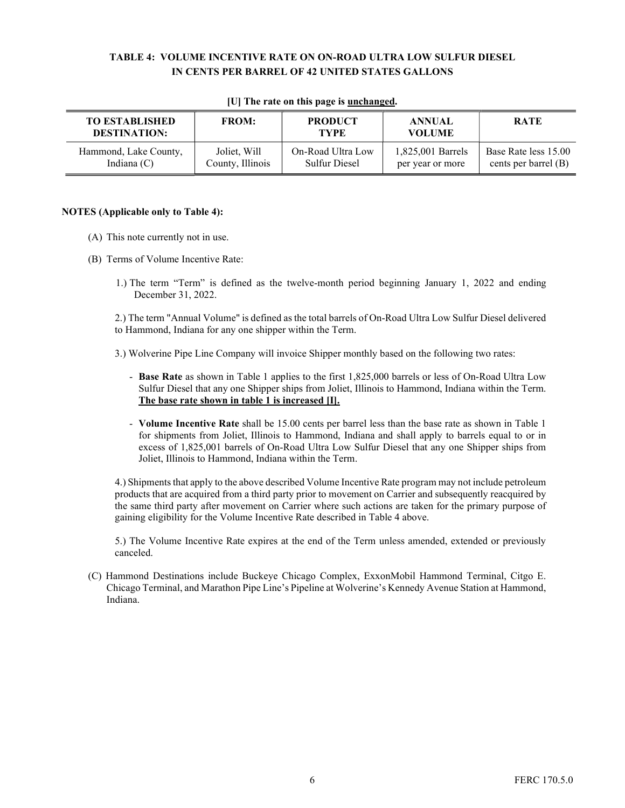#### TABLE 4: VOLUME INCENTIVE RATE ON ON-ROAD ULTRA LOW SULFUR DIESEL IN CENTS PER BARREL OF 42 UNITED STATES GALLONS

| <b>TO ESTABLISHED</b><br><b>DESTINATION:</b> | <b>FROM:</b>     | <b>PRODUCT</b><br><b>TYPE</b> | <b>ANNUAL</b><br><b>VOLUME</b> | <b>RATE</b>          |
|----------------------------------------------|------------------|-------------------------------|--------------------------------|----------------------|
| Hammond, Lake County,                        | Joliet, Will     | On-Road Ultra Low             | 1,825,001 Barrels              | Base Rate less 15.00 |
| Indiana $(C)$                                | County, Illinois | <b>Sulfur Diesel</b>          | per year or more               | cents per barrel (B) |

#### [U] The rate on this page is **unchanged**.

#### NOTES (Applicable only to Table 4):

- (A) This note currently not in use.
- (B) Terms of Volume Incentive Rate:
	- 1.) The term "Term" is defined as the twelve-month period beginning January 1, 2022 and ending December 31, 2022.

 2.) The term "Annual Volume" is defined as the total barrels of On-Road Ultra Low Sulfur Diesel delivered to Hammond, Indiana for any one shipper within the Term.

3.) Wolverine Pipe Line Company will invoice Shipper monthly based on the following two rates:

- Base Rate as shown in Table 1 applies to the first 1,825,000 barrels or less of On-Road Ultra Low Sulfur Diesel that any one Shipper ships from Joliet, Illinois to Hammond, Indiana within the Term. The base rate shown in table 1 is increased  $[I]$ .
- Volume Incentive Rate shall be 15.00 cents per barrel less than the base rate as shown in Table 1 for shipments from Joliet, Illinois to Hammond, Indiana and shall apply to barrels equal to or in excess of 1,825,001 barrels of On-Road Ultra Low Sulfur Diesel that any one Shipper ships from Joliet, Illinois to Hammond, Indiana within the Term.

 4.) Shipments that apply to the above described Volume Incentive Rate program may not include petroleum products that are acquired from a third party prior to movement on Carrier and subsequently reacquired by the same third party after movement on Carrier where such actions are taken for the primary purpose of gaining eligibility for the Volume Incentive Rate described in Table 4 above.

 5.) The Volume Incentive Rate expires at the end of the Term unless amended, extended or previously canceled.

 (C) Hammond Destinations include Buckeye Chicago Complex, ExxonMobil Hammond Terminal, Citgo E. Chicago Terminal, and Marathon Pipe Line's Pipeline at Wolverine's Kennedy Avenue Station at Hammond, Indiana.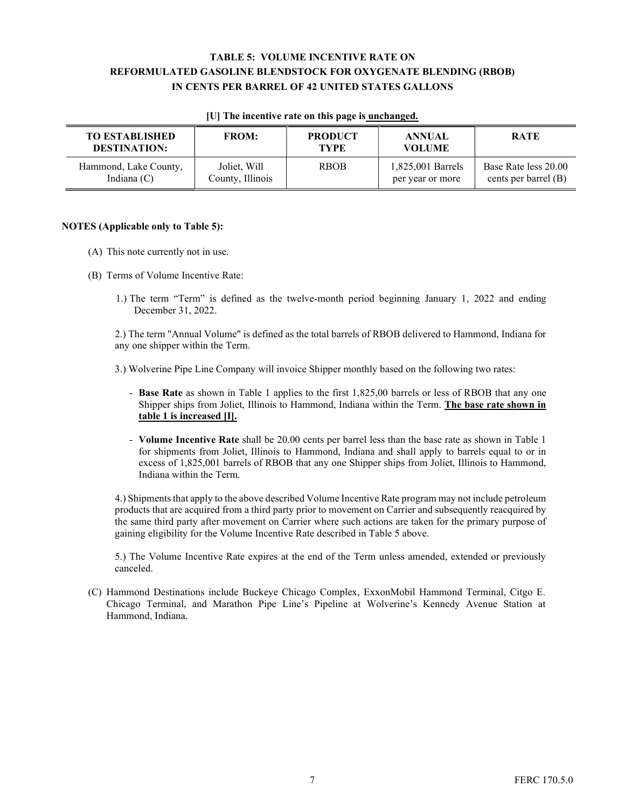#### TABLE 5: VOLUME INCENTIVE RATE ON REFORMULATED GASOLINE BLENDSTOCK FOR OXYGENATE BLENDING (RBOB) IN CENTS PER BARREL OF 42 UNITED STATES GALLONS

| <b>TO ESTABLISHED</b><br><b>DESTINATION:</b> | <b>FROM:</b>     | <b>PRODUCT</b><br><b>TYPE</b> | <b>ANNUAL</b><br><b>VOLUME</b> | <b>RATE</b>          |
|----------------------------------------------|------------------|-------------------------------|--------------------------------|----------------------|
| Hammond, Lake County,                        | Joliet, Will     | <b>RBOB</b>                   | 1,825,001 Barrels              | Base Rate less 20.00 |
| Indiana $(C)$                                | County, Illinois |                               | per year or more               | cents per barrel (B) |

#### [U] The incentive rate on this page is unchanged.

#### NOTES (Applicable only to Table 5):

- (A) This note currently not in use.
- (B) Terms of Volume Incentive Rate:
	- 1.) The term "Term" is defined as the twelve-month period beginning January 1, 2022 and ending December 31, 2022.

 2.) The term "Annual Volume" is defined as the total barrels of RBOB delivered to Hammond, Indiana for any one shipper within the Term.

3.) Wolverine Pipe Line Company will invoice Shipper monthly based on the following two rates:

- Base Rate as shown in Table 1 applies to the first 1,825,00 barrels or less of RBOB that any one Shipper ships from Joliet, Illinois to Hammond, Indiana within the Term. The base rate shown in table 1 is increased [I].
- Volume Incentive Rate shall be 20.00 cents per barrel less than the base rate as shown in Table 1 for shipments from Joliet, Illinois to Hammond, Indiana and shall apply to barrels equal to or in excess of 1,825,001 barrels of RBOB that any one Shipper ships from Joliet, Illinois to Hammond, Indiana within the Term.

 4.) Shipments that apply to the above described Volume Incentive Rate program may not include petroleum products that are acquired from a third party prior to movement on Carrier and subsequently reacquired by the same third party after movement on Carrier where such actions are taken for the primary purpose of gaining eligibility for the Volume Incentive Rate described in Table 5 above.

 5.) The Volume Incentive Rate expires at the end of the Term unless amended, extended or previously canceled.

(C) Hammond Destinations include Buckeye Chicago Complex, ExxonMobil Hammond Terminal, Citgo E. Chicago Terminal, and Marathon Pipe Line's Pipeline at Wolverine's Kennedy Avenue Station at Hammond, Indiana.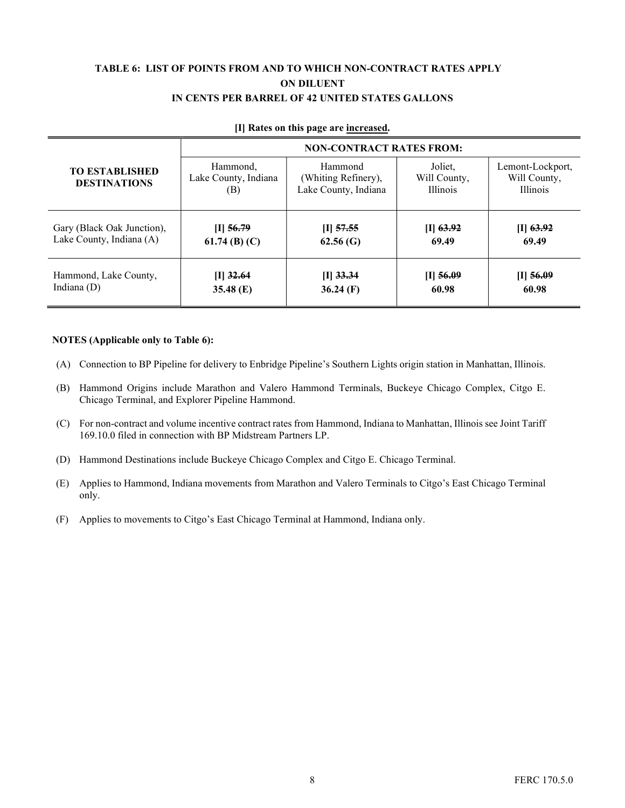#### TABLE 6: LIST OF POINTS FROM AND TO WHICH NON-CONTRACT RATES APPLY ON DILUENT IN CENTS PER BARREL OF 42 UNITED STATES GALLONS

|                                              | <b>NON-CONTRACT RATES FROM:</b>         |                                                        |                                            |                                                     |  |
|----------------------------------------------|-----------------------------------------|--------------------------------------------------------|--------------------------------------------|-----------------------------------------------------|--|
| <b>TO ESTABLISHED</b><br><b>DESTINATIONS</b> | Hammond,<br>Lake County, Indiana<br>(B) | Hammond<br>(Whiting Refinery),<br>Lake County, Indiana | Joliet.<br>Will County,<br><b>Illinois</b> | Lemont-Lockport,<br>Will County,<br><b>Illinois</b> |  |
| Gary (Black Oak Junction),                   | $[I]$ 56.79                             | $[I]$ 57.55                                            | $[I]$ 63.92                                | $[1]$ 63.92                                         |  |
| Lake County, Indiana (A)                     | 61.74 (B) $(C)$                         | 62.56(G)                                               | 69.49                                      | 69.49                                               |  |
| Hammond, Lake County,                        | $[I]$ 32.64                             | $[I]$ 33.34                                            | $[I]$ 56.09                                | $[1]$ 56.09                                         |  |
| Indiana $(D)$                                | 35.48 $(E)$                             | $36.24$ (F)                                            | 60.98                                      | 60.98                                               |  |

#### [I] Rates on this page are increased.

#### NOTES (Applicable only to Table 6):

- (A) Connection to BP Pipeline for delivery to Enbridge Pipeline's Southern Lights origin station in Manhattan, Illinois.
- (B) Hammond Origins include Marathon and Valero Hammond Terminals, Buckeye Chicago Complex, Citgo E. Chicago Terminal, and Explorer Pipeline Hammond.
- (C) For non-contract and volume incentive contract rates from Hammond, Indiana to Manhattan, Illinois see Joint Tariff 169.10.0 filed in connection with BP Midstream Partners LP.
- (D) Hammond Destinations include Buckeye Chicago Complex and Citgo E. Chicago Terminal.
- (E) Applies to Hammond, Indiana movements from Marathon and Valero Terminals to Citgo's East Chicago Terminal only.
- (F) Applies to movements to Citgo's East Chicago Terminal at Hammond, Indiana only.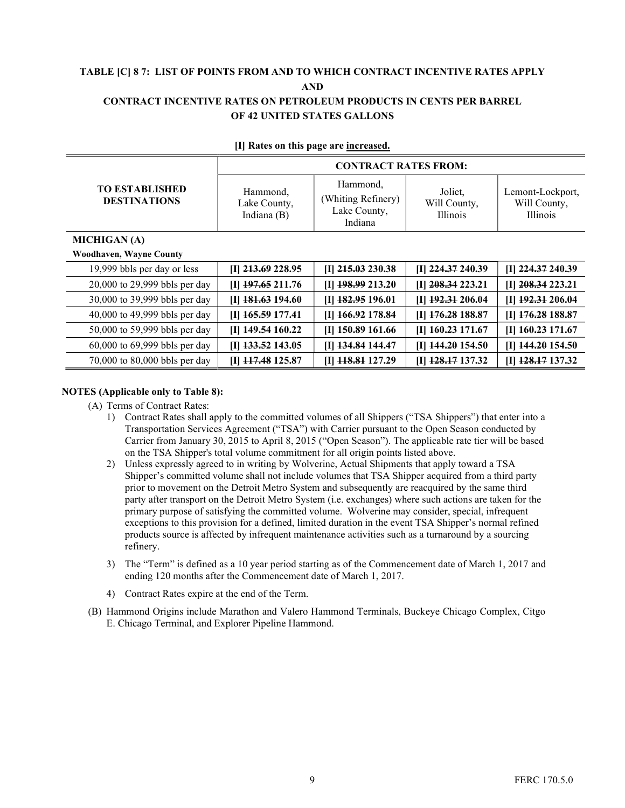#### TABLE [C] 8 7: LIST OF POINTS FROM AND TO WHICH CONTRACT INCENTIVE RATES APPLY AND CONTRACT INCENTIVE RATES ON PETROLEUM PRODUCTS IN CENTS PER BARREL OF 42 UNITED STATES GALLONS

|                                              | <b>CONTRACT RATES FROM:</b>               |                                                           |                                            |                                                     |  |
|----------------------------------------------|-------------------------------------------|-----------------------------------------------------------|--------------------------------------------|-----------------------------------------------------|--|
| <b>TO ESTABLISHED</b><br><b>DESTINATIONS</b> | Hammond,<br>Lake County,<br>Indiana $(B)$ | Hammond,<br>(Whiting Refinery)<br>Lake County,<br>Indiana | Joliet.<br>Will County,<br><b>Illinois</b> | Lemont-Lockport,<br>Will County,<br><b>Illinois</b> |  |
| <b>MICHIGAN</b> (A)                          |                                           |                                                           |                                            |                                                     |  |
| <b>Woodhaven, Wayne County</b>               |                                           |                                                           |                                            |                                                     |  |
| 19,999 bbls per day or less                  | $[I]$ 213.69 228.95                       | $[I]$ 215.03 230.38                                       | $[I]$ 224.37 240.39                        | $[I]$ 224.37 240.39                                 |  |
| 20,000 to 29,999 bbls per day                | $[I]$ 197.65 211.76                       | [I] 198.99 213.20                                         | [I] 208.34 223.21                          | $[I]$ 208.34 223.21                                 |  |
| 30,000 to 39,999 bbls per day                | $[I]$ 181.63 194.60                       | [I] 182.95 196.01                                         | [I] 192.31 206.04                          | [I] 192.31 206.04                                   |  |
| 40,000 to 49,999 bbls per day                | $[I]$ 165.59 177.41                       | [I] 166.92 178.84                                         | [I] 176.28 188.87                          | [I] 176.28 188.87                                   |  |

#### [I] Rates on this page are increased.

| 19,999 bbls per day or less   | $[I]$ 213.69 228.95 | $[I]$ 215.03 230.38 | [I] 224.37 240.39               | [I] 224.37 240.39   |
|-------------------------------|---------------------|---------------------|---------------------------------|---------------------|
| 20,000 to 29,999 bbls per day | $[I]$ 197.65 211.76 | [I] 198.99 213.20   | $[I]$ 208.34 223.21             | $[I]$ 208.34 223.21 |
| 30,000 to 39,999 bbls per day | $[I]$ 181.63 194.60 | $[I]$ 182.95 196.01 | $[I]$ 192.31 206.04             | [I] 192.31 206.04   |
| 40,000 to 49,999 bbls per day | $[I]$ 165.59 177.41 | $[I]$ 166.92 178.84 | $[I]$ 176.28 188.87             | $[I]$ 176.28 188.87 |
| 50,000 to 59,999 bbls per day | [I] $149.54$ 160.22 | $[I]$ 150.89 161.66 | $[I]$ 160.23 171.67             | $[I]$ 160.23 171.67 |
| 60,000 to 69,999 bbls per day | $[I]$ 133.52 143.05 | [I] 134.84 144.47   | $[I]$ 144.20 154.50             | $[I]$ 144.20 154.50 |
| 70,000 to 80,000 bbls per day | $[I]$ 117.48 125.87 | [I] 118.81 127.29   | $[I]$ $\frac{128.17}{2}$ 137.32 | $[I]$ 128.17 137.32 |

#### NOTES (Applicable only to Table 8):

- (A) Terms of Contract Rates:
	- 1) Contract Rates shall apply to the committed volumes of all Shippers ("TSA Shippers") that enter into a Transportation Services Agreement ("TSA") with Carrier pursuant to the Open Season conducted by Carrier from January 30, 2015 to April 8, 2015 ("Open Season"). The applicable rate tier will be based on the TSA Shipper's total volume commitment for all origin points listed above.
	- 2) Unless expressly agreed to in writing by Wolverine, Actual Shipments that apply toward a TSA Shipper's committed volume shall not include volumes that TSA Shipper acquired from a third party prior to movement on the Detroit Metro System and subsequently are reacquired by the same third party after transport on the Detroit Metro System (i.e. exchanges) where such actions are taken for the primary purpose of satisfying the committed volume. Wolverine may consider, special, infrequent exceptions to this provision for a defined, limited duration in the event TSA Shipper's normal refined products source is affected by infrequent maintenance activities such as a turnaround by a sourcing refinery.
	- 3) The "Term" is defined as a 10 year period starting as of the Commencement date of March 1, 2017 and ending 120 months after the Commencement date of March 1, 2017.
	- 4) Contract Rates expire at the end of the Term.
- (B) Hammond Origins include Marathon and Valero Hammond Terminals, Buckeye Chicago Complex, Citgo E. Chicago Terminal, and Explorer Pipeline Hammond.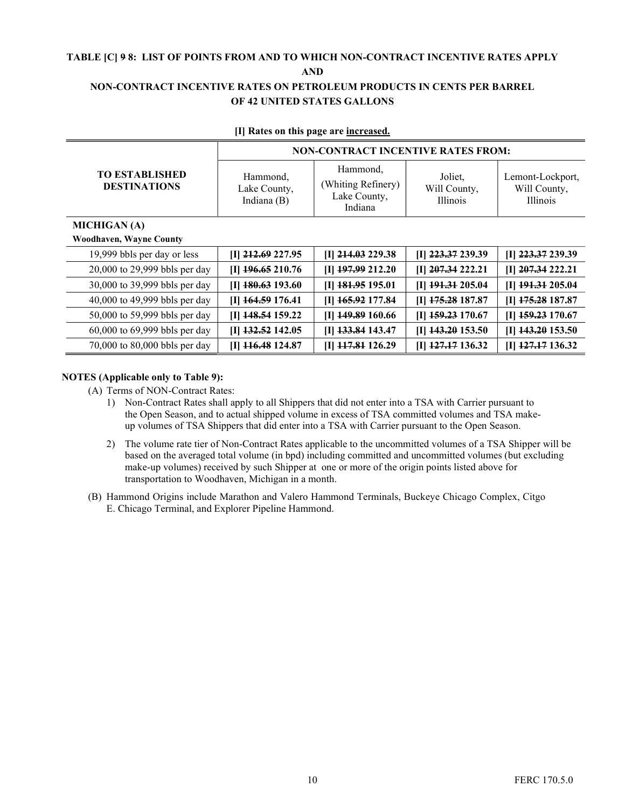### TABLE [C] 9 8: LIST OF POINTS FROM AND TO WHICH NON-CONTRACT INCENTIVE RATES APPLY

AND

#### NON-CONTRACT INCENTIVE RATES ON PETROLEUM PRODUCTS IN CENTS PER BARREL OF 42 UNITED STATES GALLONS

|                                              | <b>NON-CONTRACT INCENTIVE RATES FROM:</b> |                                                           |                                            |                                                     |  |
|----------------------------------------------|-------------------------------------------|-----------------------------------------------------------|--------------------------------------------|-----------------------------------------------------|--|
| <b>TO ESTABLISHED</b><br><b>DESTINATIONS</b> | Hammond,<br>Lake County,<br>Indiana (B)   | Hammond,<br>(Whiting Refinery)<br>Lake County,<br>Indiana | Joliet.<br>Will County,<br><b>Illinois</b> | Lemont-Lockport,<br>Will County,<br><b>Illinois</b> |  |
| <b>MICHIGAN</b> (A)                          |                                           |                                                           |                                            |                                                     |  |
| <b>Woodhaven, Wayne County</b>               |                                           |                                                           |                                            |                                                     |  |
| 19,999 bbls per day or less                  | $[I]$ 212.69 227.95                       | [I] 214.03 229.38                                         | [I] 223.37 239.39                          | $[I]$ 223.37 239.39                                 |  |
| 20,000 to 29,999 bbls per day                | $[I]$ 196.65 210.76                       | [I] 197.99 212.20                                         | $[I]$ 207.34 222.21                        | [I] 207.34 222.21                                   |  |
| 30,000 to 39,999 bbls per day                | $[I]$ 180.63 193.60                       | $II$ 181.95 195.01                                        | [I] 191.31 205.04                          | $[I]$ $191.31$ 205.04                               |  |
| 40,000 to 49,999 bbls per day                | $[I]$ 164.59 176.41                       | [I] 165.92 177.84                                         | $[I]$ 175.28 187.87                        | $[I]$ 175.28 187.87                                 |  |
| 50,000 to 59,999 bbls per day                | $[I]$ 148.54 159.22                       | [I] 149.89 160.66                                         | [I] 159.23 170.67                          | $[I]$ 159.23 170.67                                 |  |
| 60,000 to 69,999 bbls per day                | $[I]$ 132.52 142.05                       | [I] 133.84 143.47                                         | [I] 143.20 153.50                          | $[I]$ 143.20 153.50                                 |  |
| 70,000 to 80,000 bbls per day                | [I] 116.48 124.87                         | [I] 117,81 126.29                                         | $[I]$ 127, 17 136.32                       | $[I]$ 127, 17 136.32                                |  |

#### [I] Rates on this page are increased.

#### NOTES (Applicable only to Table 9):

(A) Terms of NON-Contract Rates:

- 1) Non-Contract Rates shall apply to all Shippers that did not enter into a TSA with Carrier pursuant to the Open Season, and to actual shipped volume in excess of TSA committed volumes and TSA makeup volumes of TSA Shippers that did enter into a TSA with Carrier pursuant to the Open Season.
- 2) The volume rate tier of Non-Contract Rates applicable to the uncommitted volumes of a TSA Shipper will be based on the averaged total volume (in bpd) including committed and uncommitted volumes (but excluding make-up volumes) received by such Shipper at one or more of the origin points listed above for transportation to Woodhaven, Michigan in a month.
- (B) Hammond Origins include Marathon and Valero Hammond Terminals, Buckeye Chicago Complex, Citgo E. Chicago Terminal, and Explorer Pipeline Hammond.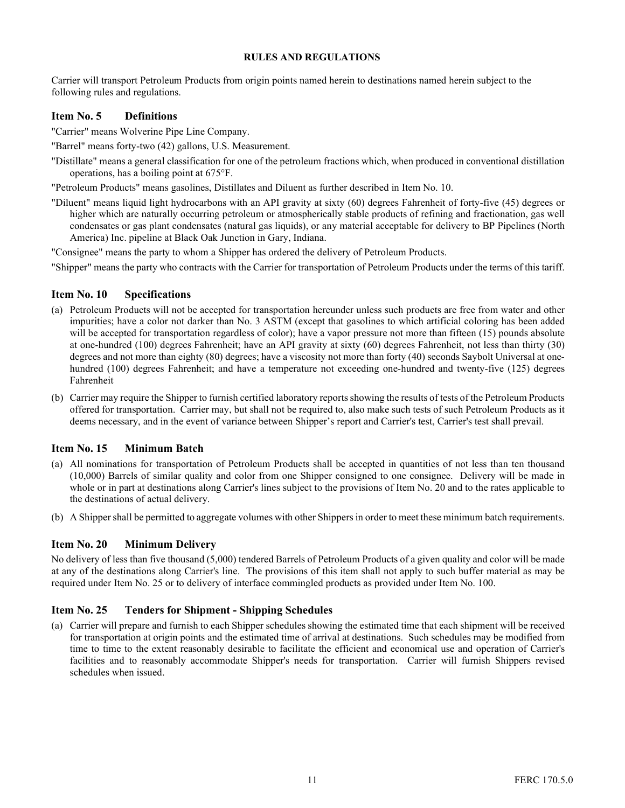Carrier will transport Petroleum Products from origin points named herein to destinations named herein subject to the following rules and regulations.

#### Item No. 5 Definitions

"Carrier" means Wolverine Pipe Line Company.

"Barrel" means forty-two (42) gallons, U.S. Measurement.

- "Distillate" means a general classification for one of the petroleum fractions which, when produced in conventional distillation operations, has a boiling point at 675°F.
- "Petroleum Products" means gasolines, Distillates and Diluent as further described in Item No. 10.
- "Diluent" means liquid light hydrocarbons with an API gravity at sixty (60) degrees Fahrenheit of forty-five (45) degrees or higher which are naturally occurring petroleum or atmospherically stable products of refining and fractionation, gas well condensates or gas plant condensates (natural gas liquids), or any material acceptable for delivery to BP Pipelines (North America) Inc. pipeline at Black Oak Junction in Gary, Indiana.

"Consignee" means the party to whom a Shipper has ordered the delivery of Petroleum Products.

"Shipper" means the party who contracts with the Carrier for transportation of Petroleum Products under the terms of this tariff.

#### Item No. 10 Specifications

- (a) Petroleum Products will not be accepted for transportation hereunder unless such products are free from water and other impurities; have a color not darker than No. 3 ASTM (except that gasolines to which artificial coloring has been added will be accepted for transportation regardless of color); have a vapor pressure not more than fifteen (15) pounds absolute at one-hundred (100) degrees Fahrenheit; have an API gravity at sixty (60) degrees Fahrenheit, not less than thirty (30) degrees and not more than eighty (80) degrees; have a viscosity not more than forty (40) seconds Saybolt Universal at onehundred (100) degrees Fahrenheit; and have a temperature not exceeding one-hundred and twenty-five (125) degrees Fahrenheit
- (b) Carrier may require the Shipper to furnish certified laboratory reports showing the results of tests of the Petroleum Products offered for transportation. Carrier may, but shall not be required to, also make such tests of such Petroleum Products as it deems necessary, and in the event of variance between Shipper's report and Carrier's test, Carrier's test shall prevail.

#### Item No. 15 Minimum Batch

- (a) All nominations for transportation of Petroleum Products shall be accepted in quantities of not less than ten thousand (10,000) Barrels of similar quality and color from one Shipper consigned to one consignee. Delivery will be made in whole or in part at destinations along Carrier's lines subject to the provisions of Item No. 20 and to the rates applicable to the destinations of actual delivery.
- (b) A Shipper shall be permitted to aggregate volumes with other Shippers in order to meet these minimum batch requirements.

#### Item No. 20 Minimum Delivery

No delivery of less than five thousand (5,000) tendered Barrels of Petroleum Products of a given quality and color will be made at any of the destinations along Carrier's line. The provisions of this item shall not apply to such buffer material as may be required under Item No. 25 or to delivery of interface commingled products as provided under Item No. 100.

#### Item No. 25 Tenders for Shipment - Shipping Schedules

(a) Carrier will prepare and furnish to each Shipper schedules showing the estimated time that each shipment will be received for transportation at origin points and the estimated time of arrival at destinations. Such schedules may be modified from time to time to the extent reasonably desirable to facilitate the efficient and economical use and operation of Carrier's facilities and to reasonably accommodate Shipper's needs for transportation. Carrier will furnish Shippers revised schedules when issued.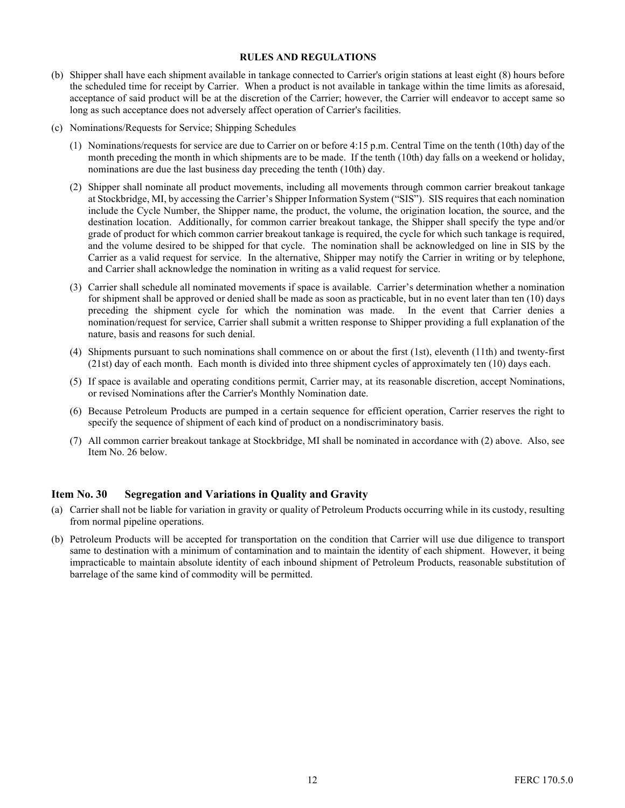- (b) Shipper shall have each shipment available in tankage connected to Carrier's origin stations at least eight (8) hours before the scheduled time for receipt by Carrier. When a product is not available in tankage within the time limits as aforesaid, acceptance of said product will be at the discretion of the Carrier; however, the Carrier will endeavor to accept same so long as such acceptance does not adversely affect operation of Carrier's facilities.
- (c) Nominations/Requests for Service; Shipping Schedules
	- (1) Nominations/requests for service are due to Carrier on or before 4:15 p.m. Central Time on the tenth (10th) day of the month preceding the month in which shipments are to be made. If the tenth (10th) day falls on a weekend or holiday, nominations are due the last business day preceding the tenth (10th) day.
	- (2) Shipper shall nominate all product movements, including all movements through common carrier breakout tankage at Stockbridge, MI, by accessing the Carrier's Shipper Information System ("SIS"). SIS requires that each nomination include the Cycle Number, the Shipper name, the product, the volume, the origination location, the source, and the destination location. Additionally, for common carrier breakout tankage, the Shipper shall specify the type and/or grade of product for which common carrier breakout tankage is required, the cycle for which such tankage is required, and the volume desired to be shipped for that cycle. The nomination shall be acknowledged on line in SIS by the Carrier as a valid request for service. In the alternative, Shipper may notify the Carrier in writing or by telephone, and Carrier shall acknowledge the nomination in writing as a valid request for service.
	- (3) Carrier shall schedule all nominated movements if space is available. Carrier's determination whether a nomination for shipment shall be approved or denied shall be made as soon as practicable, but in no event later than ten (10) days preceding the shipment cycle for which the nomination was made. In the event that Carrier denies a nomination/request for service, Carrier shall submit a written response to Shipper providing a full explanation of the nature, basis and reasons for such denial.
	- (4) Shipments pursuant to such nominations shall commence on or about the first (1st), eleventh (11th) and twenty-first (21st) day of each month. Each month is divided into three shipment cycles of approximately ten (10) days each.
	- (5) If space is available and operating conditions permit, Carrier may, at its reasonable discretion, accept Nominations, or revised Nominations after the Carrier's Monthly Nomination date.
	- (6) Because Petroleum Products are pumped in a certain sequence for efficient operation, Carrier reserves the right to specify the sequence of shipment of each kind of product on a nondiscriminatory basis.
	- (7) All common carrier breakout tankage at Stockbridge, MI shall be nominated in accordance with (2) above. Also, see Item No. 26 below.

#### Item No. 30 Segregation and Variations in Quality and Gravity

- (a) Carrier shall not be liable for variation in gravity or quality of Petroleum Products occurring while in its custody, resulting from normal pipeline operations.
- (b) Petroleum Products will be accepted for transportation on the condition that Carrier will use due diligence to transport same to destination with a minimum of contamination and to maintain the identity of each shipment. However, it being impracticable to maintain absolute identity of each inbound shipment of Petroleum Products, reasonable substitution of barrelage of the same kind of commodity will be permitted.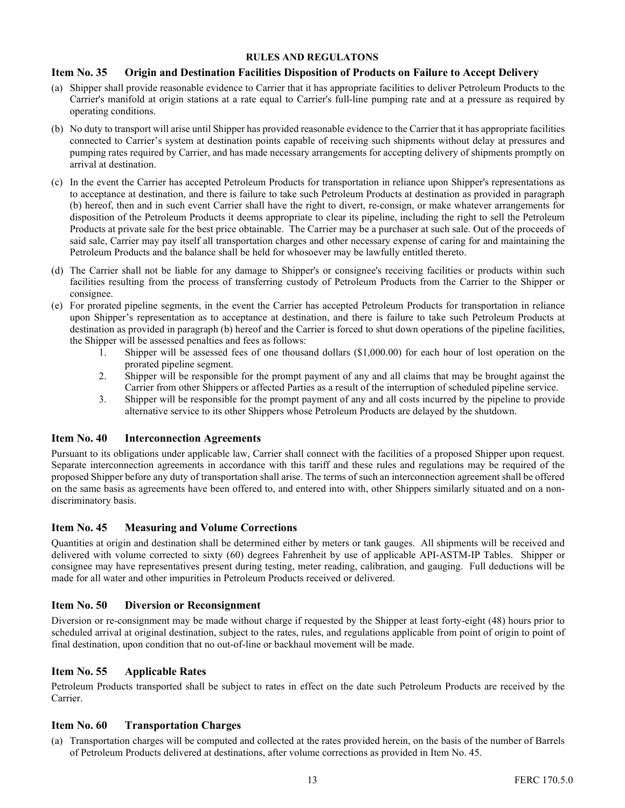#### Item No. 35 Origin and Destination Facilities Disposition of Products on Failure to Accept Delivery

- (a) Shipper shall provide reasonable evidence to Carrier that it has appropriate facilities to deliver Petroleum Products to the Carrier's manifold at origin stations at a rate equal to Carrier's full-line pumping rate and at a pressure as required by operating conditions.
- (b) No duty to transport will arise until Shipper has provided reasonable evidence to the Carrier that it has appropriate facilities connected to Carrier's system at destination points capable of receiving such shipments without delay at pressures and pumping rates required by Carrier, and has made necessary arrangements for accepting delivery of shipments promptly on arrival at destination.
- (c) In the event the Carrier has accepted Petroleum Products for transportation in reliance upon Shipper's representations as to acceptance at destination, and there is failure to take such Petroleum Products at destination as provided in paragraph (b) hereof, then and in such event Carrier shall have the right to divert, re-consign, or make whatever arrangements for disposition of the Petroleum Products it deems appropriate to clear its pipeline, including the right to sell the Petroleum Products at private sale for the best price obtainable. The Carrier may be a purchaser at such sale. Out of the proceeds of said sale, Carrier may pay itself all transportation charges and other necessary expense of caring for and maintaining the Petroleum Products and the balance shall be held for whosoever may be lawfully entitled thereto.
- (d) The Carrier shall not be liable for any damage to Shipper's or consignee's receiving facilities or products within such facilities resulting from the process of transferring custody of Petroleum Products from the Carrier to the Shipper or consignee.
- (e) For prorated pipeline segments, in the event the Carrier has accepted Petroleum Products for transportation in reliance upon Shipper's representation as to acceptance at destination, and there is failure to take such Petroleum Products at destination as provided in paragraph (b) hereof and the Carrier is forced to shut down operations of the pipeline facilities, the Shipper will be assessed penalties and fees as follows:
	- 1. Shipper will be assessed fees of one thousand dollars (\$1,000.00) for each hour of lost operation on the prorated pipeline segment.
	- 2. Shipper will be responsible for the prompt payment of any and all claims that may be brought against the Carrier from other Shippers or affected Parties as a result of the interruption of scheduled pipeline service.
	- 3. Shipper will be responsible for the prompt payment of any and all costs incurred by the pipeline to provide alternative service to its other Shippers whose Petroleum Products are delayed by the shutdown.

#### Item No. 40 Interconnection Agreements

Pursuant to its obligations under applicable law, Carrier shall connect with the facilities of a proposed Shipper upon request. Separate interconnection agreements in accordance with this tariff and these rules and regulations may be required of the proposed Shipper before any duty of transportation shall arise. The terms of such an interconnection agreement shall be offered on the same basis as agreements have been offered to, and entered into with, other Shippers similarly situated and on a nondiscriminatory basis.

#### Item No. 45 Measuring and Volume Corrections

Quantities at origin and destination shall be determined either by meters or tank gauges. All shipments will be received and delivered with volume corrected to sixty (60) degrees Fahrenheit by use of applicable API-ASTM-IP Tables. Shipper or consignee may have representatives present during testing, meter reading, calibration, and gauging. Full deductions will be made for all water and other impurities in Petroleum Products received or delivered.

#### Item No. 50 Diversion or Reconsignment

Diversion or re-consignment may be made without charge if requested by the Shipper at least forty-eight (48) hours prior to scheduled arrival at original destination, subject to the rates, rules, and regulations applicable from point of origin to point of final destination, upon condition that no out-of-line or backhaul movement will be made.

#### Item No. 55 Applicable Rates

Petroleum Products transported shall be subject to rates in effect on the date such Petroleum Products are received by the Carrier.

#### Item No. 60 Transportation Charges

(a) Transportation charges will be computed and collected at the rates provided herein, on the basis of the number of Barrels of Petroleum Products delivered at destinations, after volume corrections as provided in Item No. 45.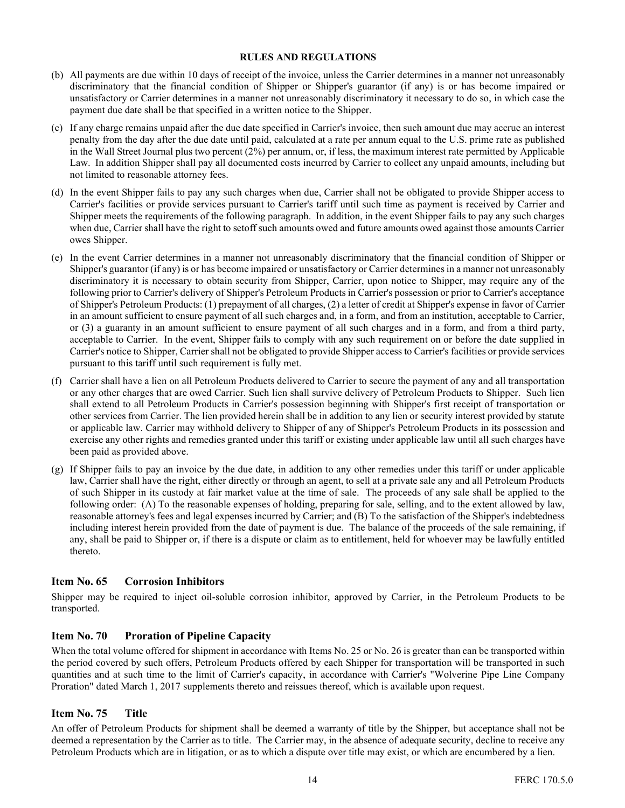- (b) All payments are due within 10 days of receipt of the invoice, unless the Carrier determines in a manner not unreasonably discriminatory that the financial condition of Shipper or Shipper's guarantor (if any) is or has become impaired or unsatisfactory or Carrier determines in a manner not unreasonably discriminatory it necessary to do so, in which case the payment due date shall be that specified in a written notice to the Shipper.
- (c) If any charge remains unpaid after the due date specified in Carrier's invoice, then such amount due may accrue an interest penalty from the day after the due date until paid, calculated at a rate per annum equal to the U.S. prime rate as published in the Wall Street Journal plus two percent (2%) per annum, or, if less, the maximum interest rate permitted by Applicable Law. In addition Shipper shall pay all documented costs incurred by Carrier to collect any unpaid amounts, including but not limited to reasonable attorney fees.
- (d) In the event Shipper fails to pay any such charges when due, Carrier shall not be obligated to provide Shipper access to Carrier's facilities or provide services pursuant to Carrier's tariff until such time as payment is received by Carrier and Shipper meets the requirements of the following paragraph. In addition, in the event Shipper fails to pay any such charges when due, Carrier shall have the right to setoff such amounts owed and future amounts owed against those amounts Carrier owes Shipper.
- (e) In the event Carrier determines in a manner not unreasonably discriminatory that the financial condition of Shipper or Shipper's guarantor (if any) is or has become impaired or unsatisfactory or Carrier determines in a manner not unreasonably discriminatory it is necessary to obtain security from Shipper, Carrier, upon notice to Shipper, may require any of the following prior to Carrier's delivery of Shipper's Petroleum Products in Carrier's possession or prior to Carrier's acceptance of Shipper's Petroleum Products: (1) prepayment of all charges, (2) a letter of credit at Shipper's expense in favor of Carrier in an amount sufficient to ensure payment of all such charges and, in a form, and from an institution, acceptable to Carrier, or (3) a guaranty in an amount sufficient to ensure payment of all such charges and in a form, and from a third party, acceptable to Carrier. In the event, Shipper fails to comply with any such requirement on or before the date supplied in Carrier's notice to Shipper, Carrier shall not be obligated to provide Shipper access to Carrier's facilities or provide services pursuant to this tariff until such requirement is fully met.
- (f) Carrier shall have a lien on all Petroleum Products delivered to Carrier to secure the payment of any and all transportation or any other charges that are owed Carrier. Such lien shall survive delivery of Petroleum Products to Shipper. Such lien shall extend to all Petroleum Products in Carrier's possession beginning with Shipper's first receipt of transportation or other services from Carrier. The lien provided herein shall be in addition to any lien or security interest provided by statute or applicable law. Carrier may withhold delivery to Shipper of any of Shipper's Petroleum Products in its possession and exercise any other rights and remedies granted under this tariff or existing under applicable law until all such charges have been paid as provided above.
- (g) If Shipper fails to pay an invoice by the due date, in addition to any other remedies under this tariff or under applicable law, Carrier shall have the right, either directly or through an agent, to sell at a private sale any and all Petroleum Products of such Shipper in its custody at fair market value at the time of sale. The proceeds of any sale shall be applied to the following order: (A) To the reasonable expenses of holding, preparing for sale, selling, and to the extent allowed by law, reasonable attorney's fees and legal expenses incurred by Carrier; and (B) To the satisfaction of the Shipper's indebtedness including interest herein provided from the date of payment is due. The balance of the proceeds of the sale remaining, if any, shall be paid to Shipper or, if there is a dispute or claim as to entitlement, held for whoever may be lawfully entitled thereto.

#### Item No. 65 Corrosion Inhibitors

Shipper may be required to inject oil-soluble corrosion inhibitor, approved by Carrier, in the Petroleum Products to be transported.

#### Item No. 70 Proration of Pipeline Capacity

When the total volume offered for shipment in accordance with Items No. 25 or No. 26 is greater than can be transported within the period covered by such offers, Petroleum Products offered by each Shipper for transportation will be transported in such quantities and at such time to the limit of Carrier's capacity, in accordance with Carrier's "Wolverine Pipe Line Company Proration" dated March 1, 2017 supplements thereto and reissues thereof, which is available upon request.

#### Item No. 75 Title

An offer of Petroleum Products for shipment shall be deemed a warranty of title by the Shipper, but acceptance shall not be deemed a representation by the Carrier as to title. The Carrier may, in the absence of adequate security, decline to receive any Petroleum Products which are in litigation, or as to which a dispute over title may exist, or which are encumbered by a lien.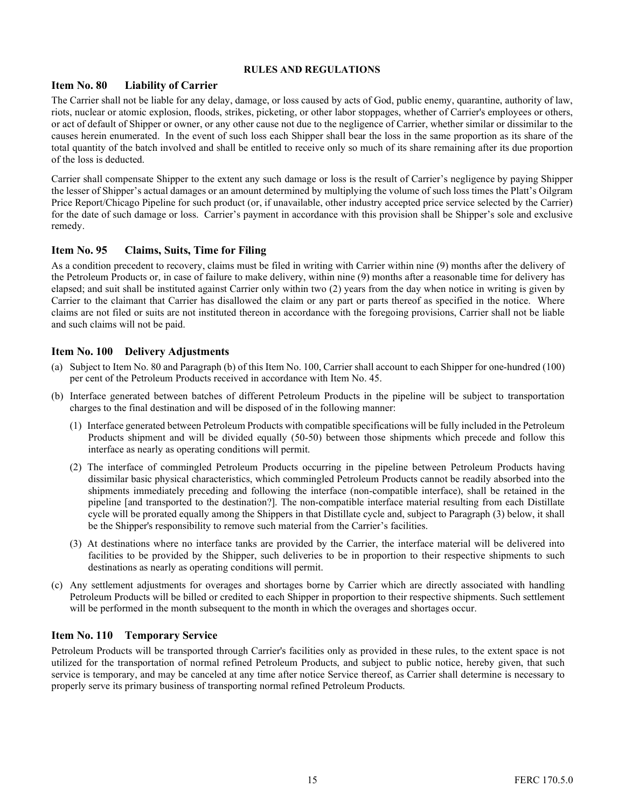#### Item No. 80 Liability of Carrier

The Carrier shall not be liable for any delay, damage, or loss caused by acts of God, public enemy, quarantine, authority of law, riots, nuclear or atomic explosion, floods, strikes, picketing, or other labor stoppages, whether of Carrier's employees or others, or act of default of Shipper or owner, or any other cause not due to the negligence of Carrier, whether similar or dissimilar to the causes herein enumerated. In the event of such loss each Shipper shall bear the loss in the same proportion as its share of the total quantity of the batch involved and shall be entitled to receive only so much of its share remaining after its due proportion of the loss is deducted.

Carrier shall compensate Shipper to the extent any such damage or loss is the result of Carrier's negligence by paying Shipper the lesser of Shipper's actual damages or an amount determined by multiplying the volume of such loss times the Platt's Oilgram Price Report/Chicago Pipeline for such product (or, if unavailable, other industry accepted price service selected by the Carrier) for the date of such damage or loss. Carrier's payment in accordance with this provision shall be Shipper's sole and exclusive remedy.

#### Item No. 95 Claims, Suits, Time for Filing

As a condition precedent to recovery, claims must be filed in writing with Carrier within nine (9) months after the delivery of the Petroleum Products or, in case of failure to make delivery, within nine (9) months after a reasonable time for delivery has elapsed; and suit shall be instituted against Carrier only within two (2) years from the day when notice in writing is given by Carrier to the claimant that Carrier has disallowed the claim or any part or parts thereof as specified in the notice. Where claims are not filed or suits are not instituted thereon in accordance with the foregoing provisions, Carrier shall not be liable and such claims will not be paid.

#### Item No. 100 Delivery Adjustments

- (a) Subject to Item No. 80 and Paragraph (b) of this Item No. 100, Carrier shall account to each Shipper for one-hundred (100) per cent of the Petroleum Products received in accordance with Item No. 45.
- (b) Interface generated between batches of different Petroleum Products in the pipeline will be subject to transportation charges to the final destination and will be disposed of in the following manner:
	- (1) Interface generated between Petroleum Products with compatible specifications will be fully included in the Petroleum Products shipment and will be divided equally (50-50) between those shipments which precede and follow this interface as nearly as operating conditions will permit.
	- (2) The interface of commingled Petroleum Products occurring in the pipeline between Petroleum Products having dissimilar basic physical characteristics, which commingled Petroleum Products cannot be readily absorbed into the shipments immediately preceding and following the interface (non-compatible interface), shall be retained in the pipeline [and transported to the destination?]. The non-compatible interface material resulting from each Distillate cycle will be prorated equally among the Shippers in that Distillate cycle and, subject to Paragraph (3) below, it shall be the Shipper's responsibility to remove such material from the Carrier's facilities.
	- (3) At destinations where no interface tanks are provided by the Carrier, the interface material will be delivered into facilities to be provided by the Shipper, such deliveries to be in proportion to their respective shipments to such destinations as nearly as operating conditions will permit.
- (c) Any settlement adjustments for overages and shortages borne by Carrier which are directly associated with handling Petroleum Products will be billed or credited to each Shipper in proportion to their respective shipments. Such settlement will be performed in the month subsequent to the month in which the overages and shortages occur.

#### Item No. 110 Temporary Service

Petroleum Products will be transported through Carrier's facilities only as provided in these rules, to the extent space is not utilized for the transportation of normal refined Petroleum Products, and subject to public notice, hereby given, that such service is temporary, and may be canceled at any time after notice Service thereof, as Carrier shall determine is necessary to properly serve its primary business of transporting normal refined Petroleum Products.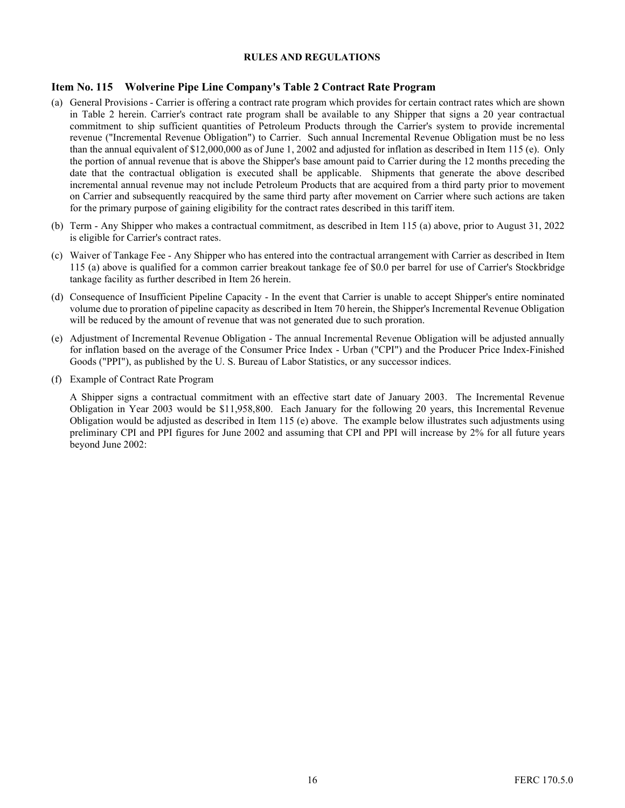#### Item No. 115 Wolverine Pipe Line Company's Table 2 Contract Rate Program

- (a) General Provisions Carrier is offering a contract rate program which provides for certain contract rates which are shown in Table 2 herein. Carrier's contract rate program shall be available to any Shipper that signs a 20 year contractual commitment to ship sufficient quantities of Petroleum Products through the Carrier's system to provide incremental revenue ("Incremental Revenue Obligation") to Carrier. Such annual Incremental Revenue Obligation must be no less than the annual equivalent of \$12,000,000 as of June 1, 2002 and adjusted for inflation as described in Item 115 (e). Only the portion of annual revenue that is above the Shipper's base amount paid to Carrier during the 12 months preceding the date that the contractual obligation is executed shall be applicable. Shipments that generate the above described incremental annual revenue may not include Petroleum Products that are acquired from a third party prior to movement on Carrier and subsequently reacquired by the same third party after movement on Carrier where such actions are taken for the primary purpose of gaining eligibility for the contract rates described in this tariff item.
- (b) Term Any Shipper who makes a contractual commitment, as described in Item 115 (a) above, prior to August 31, 2022 is eligible for Carrier's contract rates.
- (c) Waiver of Tankage Fee Any Shipper who has entered into the contractual arrangement with Carrier as described in Item 115 (a) above is qualified for a common carrier breakout tankage fee of \$0.0 per barrel for use of Carrier's Stockbridge tankage facility as further described in Item 26 herein.
- (d) Consequence of Insufficient Pipeline Capacity In the event that Carrier is unable to accept Shipper's entire nominated volume due to proration of pipeline capacity as described in Item 70 herein, the Shipper's Incremental Revenue Obligation will be reduced by the amount of revenue that was not generated due to such proration.
- (e) Adjustment of Incremental Revenue Obligation The annual Incremental Revenue Obligation will be adjusted annually for inflation based on the average of the Consumer Price Index - Urban ("CPI") and the Producer Price Index-Finished Goods ("PPI"), as published by the U. S. Bureau of Labor Statistics, or any successor indices.
- (f) Example of Contract Rate Program

A Shipper signs a contractual commitment with an effective start date of January 2003. The Incremental Revenue Obligation in Year 2003 would be \$11,958,800. Each January for the following 20 years, this Incremental Revenue Obligation would be adjusted as described in Item 115 (e) above. The example below illustrates such adjustments using preliminary CPI and PPI figures for June 2002 and assuming that CPI and PPI will increase by 2% for all future years beyond June 2002: